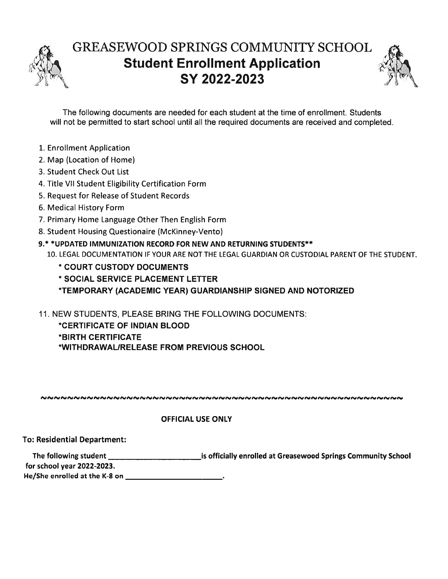

## GREASEWOOD SPRINGS COMMUNITY SCHOOL Student Enrollment Application SY 2022-2023



The following documents are needed for each student at the time of enrollment. Students will not be permitted to start school until all the required documents are received and completed.

- 1. Enrollment Application
- 2. Map (Location of Home)
- 3. Student Check Out List
- 4. Title VII Student Eligibility Certification Form
- 5. Request for Release of Student Records
- 6. Medical History Form
- 7. Primary Home Language Other Then English Form
- 8. Student Housing Questionaire (McKinney-Vento)
- 9.\* \*UPDATED IMMUNIZATION RECORD FOR NEW AND RETURNING STUDENTS\*\*

10. LEGAL DOCUMENTATION IF YOUR ARE NOT THE LEGAL GUARDIAN OR CUSTODIAL PARENT OF THE STUDENT.

- \* COURT CUSTODY DOCUMENTS
- \* SOCIAL SERVICE PLACEMENT LETTER
- \*TEMPORARY (ACADEMIC YEAR) GUARDIANSHIP SIGNED AND NOTORIZED
- 11. NEW STUDENTS, PLEASE BRING THE FOLLOWING DOCUMENTS:
	- \*CERTIFICATE OF INDIAN BLOOD
	- \*BIRTH CERTIFICATE
	- \*WITHDRAWALIRELEASE FROM PREVIOUS SCHOOL

,r t, ,I -

### OFFICIAL USE ONLY

To: Residential Department:

The following student \_\_\_\_\_\_\_\_\_\_\_\_\_\_\_\_\_\_\_\_\_\_\_\_\_\_\_\_\_\_\_\_\_is officially enrolled at Greasewood Springs Community School for school year 2022-2023.

He/She enrolled at the K-8 on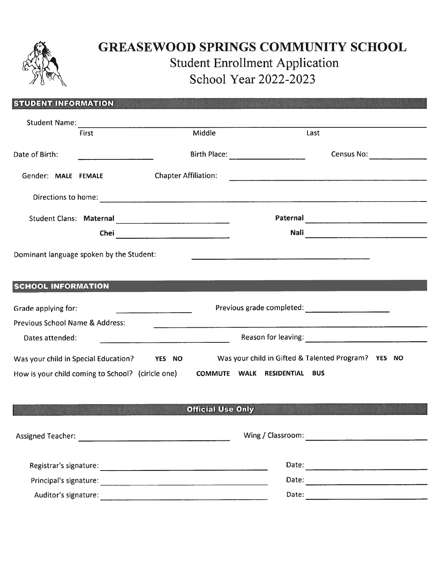

### GREASEWOOD SPRINGS COMMUNITY SCHOOL Student Enrollment Application School Year 2022-2023

|                                                   |                            |                                                                                           | <b>Student Enrollment Application</b><br>School Year 2022-2023 |                              | <b>GREASEWOOD SPRINGS COMMUNITY SCHOOL</b>                                                                                                                                                                                     |                              |
|---------------------------------------------------|----------------------------|-------------------------------------------------------------------------------------------|----------------------------------------------------------------|------------------------------|--------------------------------------------------------------------------------------------------------------------------------------------------------------------------------------------------------------------------------|------------------------------|
| <b>STUDENT INFORMATION</b>                        |                            |                                                                                           |                                                                |                              |                                                                                                                                                                                                                                |                              |
|                                                   |                            |                                                                                           |                                                                |                              |                                                                                                                                                                                                                                |                              |
|                                                   | Student Name: First Middle |                                                                                           |                                                                |                              | Last                                                                                                                                                                                                                           |                              |
| Date of Birth:                                    |                            |                                                                                           | Birth Place: _____________________                             |                              |                                                                                                                                                                                                                                | <b>Census No: Census No:</b> |
| Gender: MALE FEMALE                               |                            | <b>Chapter Affiliation:</b>                                                               |                                                                |                              | <u> 2000 - Januari James Januari (j. 1900).</u>                                                                                                                                                                                |                              |
|                                                   |                            |                                                                                           |                                                                |                              |                                                                                                                                                                                                                                |                              |
|                                                   |                            |                                                                                           |                                                                |                              |                                                                                                                                                                                                                                |                              |
| Dominant language spoken by the Student:          |                            |                                                                                           |                                                                |                              | the contract of the contract of the contract of the contract of the contract of the contract of the contract of                                                                                                                |                              |
| <b>SCHOOL INFORMATION</b>                         |                            |                                                                                           |                                                                |                              |                                                                                                                                                                                                                                |                              |
| Grade applying for:                               |                            |                                                                                           |                                                                |                              |                                                                                                                                                                                                                                |                              |
| <b>Previous School Name &amp; Address:</b>        |                            |                                                                                           |                                                                |                              |                                                                                                                                                                                                                                |                              |
| Dates attended:                                   |                            | the control of the control of the control of the control of the control of the control of |                                                                |                              | Reason for leaving: The Contract of the Contract of the Contract of the Contract of the Contract of the Contract of the Contract of the Contract of the Contract of the Contract of the Contract of the Contract of the Contra |                              |
| Was your child in Special Education?              |                            | YES NO                                                                                    |                                                                |                              | Was your child in Gifted & Talented Program? YES NO                                                                                                                                                                            |                              |
| How is your child coming to School? (cirlcle one) |                            |                                                                                           |                                                                | COMMUTE WALK RESIDENTIAL BUS |                                                                                                                                                                                                                                |                              |
|                                                   |                            |                                                                                           |                                                                |                              |                                                                                                                                                                                                                                |                              |
|                                                   |                            |                                                                                           | <b>Official Use Only</b>                                       |                              |                                                                                                                                                                                                                                |                              |
|                                                   |                            |                                                                                           |                                                                |                              |                                                                                                                                                                                                                                |                              |
|                                                   |                            |                                                                                           |                                                                |                              |                                                                                                                                                                                                                                |                              |
|                                                   |                            |                                                                                           |                                                                |                              |                                                                                                                                                                                                                                |                              |
| Auditor's signature:                              |                            |                                                                                           |                                                                | Date:                        |                                                                                                                                                                                                                                |                              |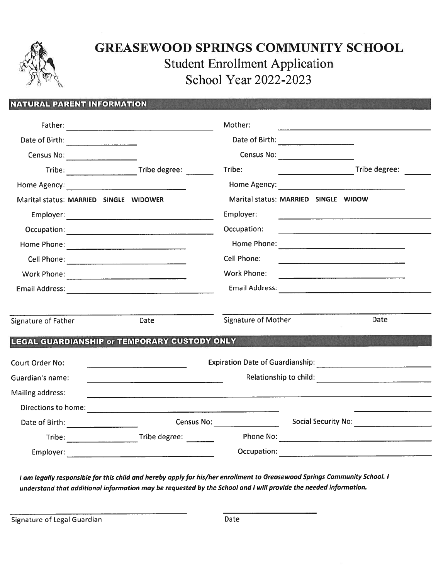

## GREASEWOOD SPRINGS COMMUNITY SCHOOL Student Enrollment Application School Year 2022-2023

|                                                                                                                                                                                                                                |                                                         | <b>GREASEWOOD SPRINGS COMMUNITY SCHOOL</b><br><b>Student Enrollment Application</b><br>School Year 2022-2023                                                                                                                   |                                                                                                                                                                                                                               |
|--------------------------------------------------------------------------------------------------------------------------------------------------------------------------------------------------------------------------------|---------------------------------------------------------|--------------------------------------------------------------------------------------------------------------------------------------------------------------------------------------------------------------------------------|-------------------------------------------------------------------------------------------------------------------------------------------------------------------------------------------------------------------------------|
| <b>NATURAL PARENT INFORMATION</b>                                                                                                                                                                                              |                                                         |                                                                                                                                                                                                                                |                                                                                                                                                                                                                               |
|                                                                                                                                                                                                                                |                                                         | Mother:                                                                                                                                                                                                                        | <u>statement of the contract of the contract of the contract of the contract of the contract of the contract of</u>                                                                                                           |
| Date of Birth: __________________                                                                                                                                                                                              |                                                         |                                                                                                                                                                                                                                |                                                                                                                                                                                                                               |
| Census No:                                                                                                                                                                                                                     |                                                         |                                                                                                                                                                                                                                |                                                                                                                                                                                                                               |
|                                                                                                                                                                                                                                |                                                         | Tribe:                                                                                                                                                                                                                         | Tribe degree:                                                                                                                                                                                                                 |
| Home Agency: The Communication of the Communication of the Communication of the Communication of the Communication of the Communication of the Communication of the Communication of the Communication of the Communication of |                                                         | Home Agency: The Contract of the Contract of the Contract of the Contract of the Contract of the Contract of the Contract of the Contract of the Contract of the Contract of the Contract of the Contract of the Contract of t |                                                                                                                                                                                                                               |
| Marital status: MARRIED SINGLE WIDOWER                                                                                                                                                                                         |                                                         | Marital status: MARRIED SINGLE WIDOW                                                                                                                                                                                           |                                                                                                                                                                                                                               |
|                                                                                                                                                                                                                                |                                                         | Employer:                                                                                                                                                                                                                      | <u> 1980 - Jan Barristo, martin de la califactura de la califactura de la califactura de la califactura de la cal</u>                                                                                                         |
|                                                                                                                                                                                                                                |                                                         | Occupation:                                                                                                                                                                                                                    | <u> 1980 - Andrea Stadt Britain, amerikansk politiker (</u>                                                                                                                                                                   |
|                                                                                                                                                                                                                                |                                                         |                                                                                                                                                                                                                                |                                                                                                                                                                                                                               |
|                                                                                                                                                                                                                                |                                                         | Cell Phone:                                                                                                                                                                                                                    | the control of the control of the control of the control of the control of the control of the control of the control of the control of the control of the control of the control of the control of the control of the control |
|                                                                                                                                                                                                                                |                                                         | <b>Work Phone:</b>                                                                                                                                                                                                             |                                                                                                                                                                                                                               |
|                                                                                                                                                                                                                                |                                                         | Email Address: New York Street, New York Street, New York Street, New York Street, New York Street, New York Street, New York Street, New York Street, New York Street, New York Street, New York Street, New York Street, New |                                                                                                                                                                                                                               |
| Signature of Father                                                                                                                                                                                                            | Date                                                    | Signature of Mother                                                                                                                                                                                                            | Date                                                                                                                                                                                                                          |
|                                                                                                                                                                                                                                | LEGAL GUARDIANSHIP or TEMPORARY CUSTODY ONLY            |                                                                                                                                                                                                                                |                                                                                                                                                                                                                               |
| Court Order No:                                                                                                                                                                                                                |                                                         |                                                                                                                                                                                                                                |                                                                                                                                                                                                                               |
| Guardian's name:                                                                                                                                                                                                               |                                                         |                                                                                                                                                                                                                                |                                                                                                                                                                                                                               |
| Mailing address:                                                                                                                                                                                                               |                                                         |                                                                                                                                                                                                                                |                                                                                                                                                                                                                               |
|                                                                                                                                                                                                                                |                                                         |                                                                                                                                                                                                                                |                                                                                                                                                                                                                               |
| Date of Birth:                                                                                                                                                                                                                 | <u> 1990 - Jan Barbara Barat, prima polit</u> ik        | <b>Census No: Census No:</b>                                                                                                                                                                                                   | Social Security No:                                                                                                                                                                                                           |
|                                                                                                                                                                                                                                | Tribe: _________________________Tribe degree: _________ |                                                                                                                                                                                                                                |                                                                                                                                                                                                                               |
|                                                                                                                                                                                                                                |                                                         |                                                                                                                                                                                                                                |                                                                                                                                                                                                                               |

<sup>I</sup> am legally responsible for this child and hereby apply for his/her enrollment to Greasewood Springs Community School. <sup>I</sup> understand that additional information may be requested by the School and <sup>I</sup> will provide the needed information.

Signature of Legal Guardian Date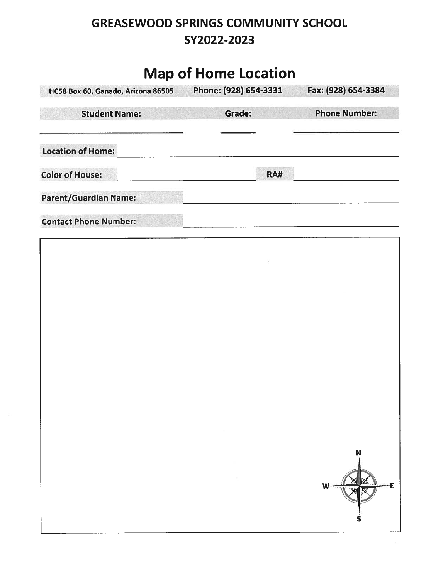## GREASEWOOD SPRINGS COMMUNITY SCHOOL SY2022-2023

# Map of Home Location

| HC58 Box 60, Ganado, Arizona 86505 | Phone: (928) 654-3331 | Fax: (928) 654-3384  |
|------------------------------------|-----------------------|----------------------|
| <b>Student Name:</b>               | Grade:                | <b>Phone Number:</b> |
| <b>Location of Home:</b>           |                       |                      |
| <b>Color of House:</b>             | <b>RA#</b>            |                      |
| <b>Parent/Guardian Name:</b>       |                       |                      |
| <b>Contact Phone Number:</b>       |                       |                      |

| × |                  |
|---|------------------|
|   |                  |
|   |                  |
|   |                  |
|   | N<br>Έ<br>W<br>S |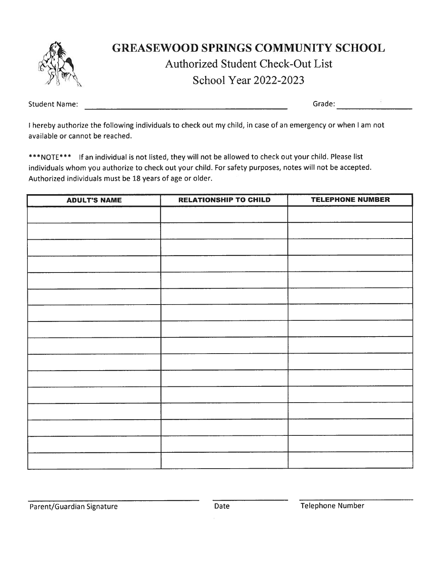

### GREASEWOOD SPRINGS COMMUNITY SCHOOL

### Authorized Student Check-Out List

School Year 2022-2023

Student Name:

Grade: Electric Contract of the Second Second Second Second Second Second Second Second Second Second Second Second Second Second Second Second Second Second Second Second Second Second Second Second Second Second Second S

<sup>I</sup> hereby authorize the following individuals to check out my child, in case of an emergency or when <sup>I</sup> am not available or cannot be reached.

\*\*\*NOTE\*\*\* If an individual is not listed, they will not be allowed to check out your child. Please list individuals whom you authorize to check out your child. For safety purposes, notes will not be accepted. Authorized individuals must be 18 years of age or older.

| <b>ADULT'S NAME</b> | <b>RELATIONSHIP TO CHILD</b> | <b>TELEPHONE NUMBER</b> |
|---------------------|------------------------------|-------------------------|
|                     |                              |                         |
|                     |                              |                         |
|                     |                              |                         |
|                     |                              |                         |
|                     |                              |                         |
|                     |                              |                         |
|                     |                              |                         |
|                     |                              |                         |
|                     |                              |                         |
|                     |                              |                         |
|                     |                              |                         |
|                     |                              |                         |
|                     |                              |                         |
|                     |                              |                         |
|                     |                              |                         |
|                     |                              |                         |
|                     |                              |                         |

Parent/Guardian Signature **Date** Date **Date** Telephone Number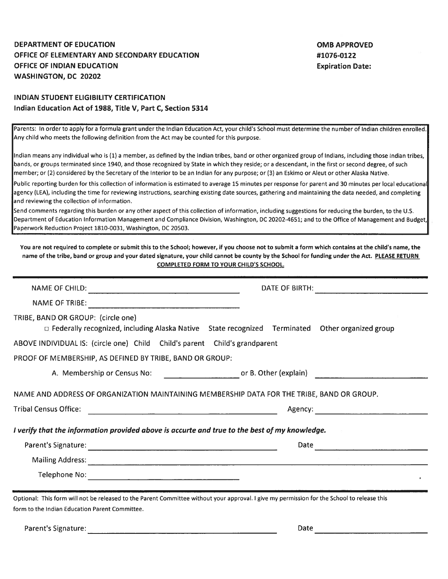#### DEPARTMENT OF EDUCATION NATURAL SERVICE OF THE SERVICE OF THE SERVICE OF THE SERVICE OF THE SERVICE OF THE SERVICE OF THE SERVICE OF THE SERVICE OF THE SERVICE OF THE SERVICE OF THE SERVICE OF THE SERVICE OF THE SERVICE OF OFFICE OF ELEMENTARY AND SECONDARY EDUCATION #1076-0122 OFFICE OF INDIAN EDUCATION Expiration Date: WASHINGTON, DC 20202

### INDIAN STUDENT ELIGIBILITY CERTIFICATION Indian Education Act of 1988, Title V, Part C, Section 5314

| DEPARTMENT OF EDUCATION                                                                                                                       | <b>OMB APPROVED</b>                                                                                                                                                                                                                                                                                                   |
|-----------------------------------------------------------------------------------------------------------------------------------------------|-----------------------------------------------------------------------------------------------------------------------------------------------------------------------------------------------------------------------------------------------------------------------------------------------------------------------|
| OFFICE OF ELEMENTARY AND SECONDARY EDUCATION<br>OFFICE OF INDIAN EDUCATION                                                                    | #1076-0122<br><b>Expiration Date:</b>                                                                                                                                                                                                                                                                                 |
| WASHINGTON, DC 20202                                                                                                                          |                                                                                                                                                                                                                                                                                                                       |
| INDIAN STUDENT ELIGIBILITY CERTIFICATION                                                                                                      |                                                                                                                                                                                                                                                                                                                       |
| Indian Education Act of 1988, Title V, Part C, Section 5314                                                                                   |                                                                                                                                                                                                                                                                                                                       |
| Any child who meets the following definition from the Act may be counted for this purpose.                                                    | Parents: In order to apply for a formula grant under the Indian Education Act, your child's School must determine the number of Indian children enrolled.                                                                                                                                                             |
| member; or (2) considered by the Secretary of the Interior to be an Indian for any purpose; or (3) an Eskimo or Aleut or other Alaska Native. | Indian means any individual who is (1) a member, as defined by the indian tribes, band or other organized group of Indians, including those Indian tribes,<br>bands, or groups terminated since 1940, and those recognized by State in which they reside; or a descendant, in the first or second degree, of such     |
| and reviewing the collection of information.                                                                                                  | Public reporting burden for this collection of information is estimated to average 15 minutes per response for parent and 30 minutes per local educational<br>agency (LEA), including the time for reviewing instructions, searching existing date sources, gathering and maintaining the data needed, and completing |
| Paperwork Reduction Project 1810-0031, Washington, DC 20503.                                                                                  | Send comments regarding this burden or any other aspect of this collection of information, including suggestions for reducing the burden, to the U.S.<br>Department of Education Information Management and Compliance Division, Washington, DC 20202-4651; and to the Office of Management and Budget,               |
|                                                                                                                                               | name of the tribe, band or group and your dated signature, your child cannot be county by the School for funding under the Act. PLEASE RETURN<br><b>COMPLETED FORM TO YOUR CHILD'S SCHOOL.</b>                                                                                                                        |
|                                                                                                                                               | DATE OF BIRTH:                                                                                                                                                                                                                                                                                                        |
| <b>NAME OF TRIBE:</b>                                                                                                                         |                                                                                                                                                                                                                                                                                                                       |
| TRIBE, BAND OR GROUP: (circle one)                                                                                                            | □ Federally recognized, including Alaska Native State recognized Terminated Other organized group                                                                                                                                                                                                                     |
| ABOVE INDIVIDUAL IS: (circle one) Child Child's parent Child's grandparent                                                                    |                                                                                                                                                                                                                                                                                                                       |
| PROOF OF MEMBERSHIP, AS DEFINED BY TRIBE, BAND OR GROUP:                                                                                      |                                                                                                                                                                                                                                                                                                                       |
|                                                                                                                                               | A. Membership or Census No: example or B. Other (explain)                                                                                                                                                                                                                                                             |
| NAME AND ADDRESS OF ORGANIZATION MAINTAINING MEMBERSHIP DATA FOR THE TRIBE, BAND OR GROUP.                                                    |                                                                                                                                                                                                                                                                                                                       |
| <b>Tribal Census Office:</b><br><u> 1980 - Johann Barn, amerikansk politiker (d. 1980)</u>                                                    |                                                                                                                                                                                                                                                                                                                       |
| I verify that the information provided above is accurte and true to the best of my knowledge.                                                 |                                                                                                                                                                                                                                                                                                                       |
|                                                                                                                                               | Date and the contract of the contract of the contract of the contract of the contract of the contract of the contract of the contract of the contract of the contract of the contract of the contract of the contract of the c                                                                                        |
|                                                                                                                                               |                                                                                                                                                                                                                                                                                                                       |
|                                                                                                                                               |                                                                                                                                                                                                                                                                                                                       |
| Optional: This form will not be released to the Parent Committee without your approval. I give my permission for the School to release this   |                                                                                                                                                                                                                                                                                                                       |
| form to the Indian Education Parent Committee.                                                                                                |                                                                                                                                                                                                                                                                                                                       |

Parent's Signature: Date Date of the Contract of the Contract of the Date Date of the Date of the Date of the D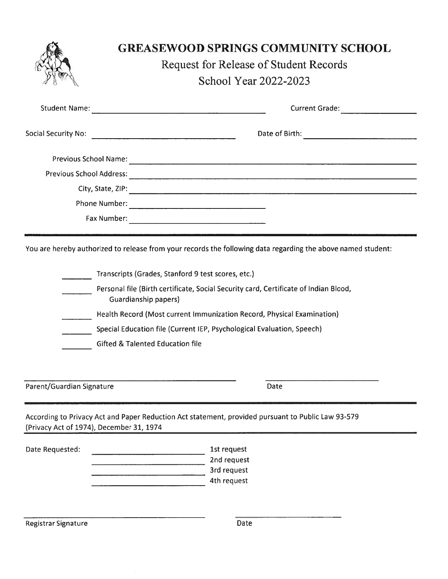|                                          | <b>GREASEWOOD SPRINGS COMMUNITY SCHOOL</b>                                                                                                                                                                                                                                                                                                                                    |
|------------------------------------------|-------------------------------------------------------------------------------------------------------------------------------------------------------------------------------------------------------------------------------------------------------------------------------------------------------------------------------------------------------------------------------|
|                                          | <b>Request for Release of Student Records</b>                                                                                                                                                                                                                                                                                                                                 |
|                                          | School Year 2022-2023                                                                                                                                                                                                                                                                                                                                                         |
| <b>Student Name:</b>                     | Current Grade:                                                                                                                                                                                                                                                                                                                                                                |
|                                          |                                                                                                                                                                                                                                                                                                                                                                               |
|                                          |                                                                                                                                                                                                                                                                                                                                                                               |
|                                          |                                                                                                                                                                                                                                                                                                                                                                               |
|                                          |                                                                                                                                                                                                                                                                                                                                                                               |
|                                          |                                                                                                                                                                                                                                                                                                                                                                               |
|                                          |                                                                                                                                                                                                                                                                                                                                                                               |
|                                          |                                                                                                                                                                                                                                                                                                                                                                               |
| Parent/Guardian Signature                | Transcripts (Grades, Stanford 9 test scores, etc.)<br>Personal file (Birth certificate, Social Security card, Certificate of Indian Blood,<br>Guardianship papers)<br>Health Record (Most current Immunization Record, Physical Examination)<br>Special Education file (Current IEP, Psychological Evaluation, Speech)<br><b>Gifted &amp; Talented Education file</b><br>Date |
| (Privacy Act of 1974), December 31, 1974 | According to Privacy Act and Paper Reduction Act statement, provided pursuant to Public Law 93-579                                                                                                                                                                                                                                                                            |
| Date Requested:                          | 1st request                                                                                                                                                                                                                                                                                                                                                                   |
|                                          | 2nd request                                                                                                                                                                                                                                                                                                                                                                   |
|                                          | 3rd request<br>4th request                                                                                                                                                                                                                                                                                                                                                    |
| Registrar Signature                      | Date                                                                                                                                                                                                                                                                                                                                                                          |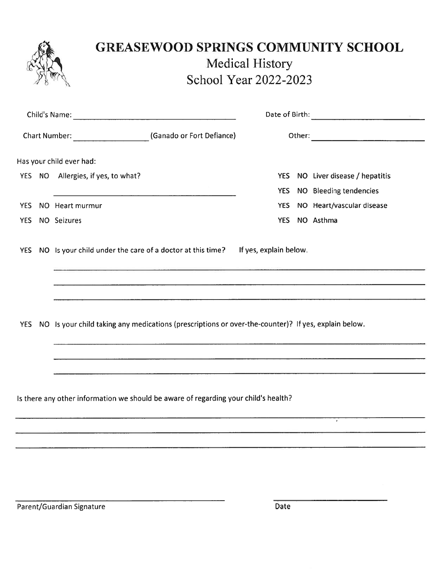|            | <b>GREASEWOOD SPRINGS COMMUNITY SCHOOL</b>                                                          | <b>Medical History</b><br>School Year 2022-2023 |                              |
|------------|-----------------------------------------------------------------------------------------------------|-------------------------------------------------|------------------------------|
|            |                                                                                                     |                                                 |                              |
|            | Chart Number: ___________________________(Ganado or Fort Defiance)                                  |                                                 |                              |
|            | Has your child ever had:                                                                            |                                                 |                              |
|            | YES NO Allergies, if yes, to what?                                                                  | <b>YES</b>                                      | NO Liver disease / hepatitis |
|            |                                                                                                     | <b>YES</b>                                      | NO Bleeding tendencies       |
| YES.       | NO Heart murmur                                                                                     | <b>YES</b>                                      | NO Heart/vascular disease    |
| YES.       | NO Seizures                                                                                         | <b>YES</b>                                      | NO Asthma                    |
|            | YES NO Is your child under the care of a doctor at this time? If yes, explain below.                |                                                 |                              |
|            |                                                                                                     |                                                 |                              |
| <b>YES</b> | NO Is your child taking any medications (prescriptions or over-the-counter)? If yes, explain below. |                                                 |                              |
|            |                                                                                                     |                                                 |                              |
|            |                                                                                                     |                                                 |                              |
|            |                                                                                                     |                                                 |                              |

Is there any other information we should be aware of regarding your child's health?

Parent/Guardian Signature Date

7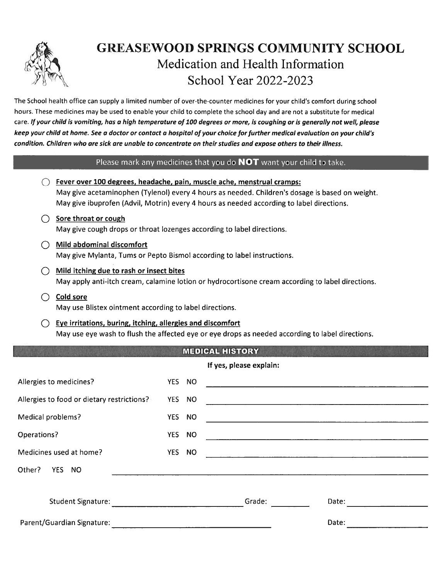

### GREASEWOOD SPRINGS COMMUNITY SCHOOL Medication and Health Information School Year 2022-2023

#### Please mark any medicines that you do **NOT** want your child to take.

|                                                                      |                                                                                                                                               |        |        | <b>GREASEWOOD SPRINGS COMMUNITY SCHOOL</b><br>Medication and Health Information<br>School Year 2022-2023                                                                                                                                                                                                                                                                                                                                                                                                                                                                                                                        |  |
|----------------------------------------------------------------------|-----------------------------------------------------------------------------------------------------------------------------------------------|--------|--------|---------------------------------------------------------------------------------------------------------------------------------------------------------------------------------------------------------------------------------------------------------------------------------------------------------------------------------------------------------------------------------------------------------------------------------------------------------------------------------------------------------------------------------------------------------------------------------------------------------------------------------|--|
|                                                                      |                                                                                                                                               |        |        | he School health office can supply a limited number of over-the-counter medicines for your child's comfort during school<br>ours. These medicines may be used to enable your child to complete the school day and are not a substitute for medical<br>are. If your child is vomiting, has a high temperature of 100 degrees or more, is coughing or is generally not well, please<br>eep your child at home. See a doctor or contact a hospital of your choice for further medical evaluation on your child's<br>ondition. Children who are sick are unable to concentrate on their studies and expose others to their illness. |  |
|                                                                      |                                                                                                                                               |        |        | Please mark any medicines that you do <b>NOT</b> want your child to take.                                                                                                                                                                                                                                                                                                                                                                                                                                                                                                                                                       |  |
|                                                                      | Fever over 100 degrees, headache, pain, muscle ache, menstrual cramps:                                                                        |        |        | May give acetaminophen (Tylenol) every 4 hours as needed. Children's dosage is based on weight.<br>May give ibuprofen (Advil, Motrin) every 4 hours as needed according to label directions.                                                                                                                                                                                                                                                                                                                                                                                                                                    |  |
| ()                                                                   | Sore throat or cough<br>May give cough drops or throat lozenges according to label directions.                                                |        |        |                                                                                                                                                                                                                                                                                                                                                                                                                                                                                                                                                                                                                                 |  |
| ( )                                                                  | Mild abdominal discomfort<br>May give Mylanta, Tums or Pepto Bismol according to label instructions.                                          |        |        |                                                                                                                                                                                                                                                                                                                                                                                                                                                                                                                                                                                                                                 |  |
| ( )                                                                  | Mild itching due to rash or insect bites<br>May apply anti-itch cream, calamine lotion or hydrocortisone cream according to label directions. |        |        |                                                                                                                                                                                                                                                                                                                                                                                                                                                                                                                                                                                                                                 |  |
| Cold sore<br>May use Blistex ointment according to label directions. |                                                                                                                                               |        |        |                                                                                                                                                                                                                                                                                                                                                                                                                                                                                                                                                                                                                                 |  |
|                                                                      | Eye irritations, buring, itching, allergies and discomfort                                                                                    |        |        | May use eye wash to flush the affected eye or eye drops as needed according to label directions.                                                                                                                                                                                                                                                                                                                                                                                                                                                                                                                                |  |
|                                                                      |                                                                                                                                               |        |        | <b>MEDICAL HISTORY</b>                                                                                                                                                                                                                                                                                                                                                                                                                                                                                                                                                                                                          |  |
|                                                                      |                                                                                                                                               |        |        | If yes, please explain:                                                                                                                                                                                                                                                                                                                                                                                                                                                                                                                                                                                                         |  |
|                                                                      | Allergies to medicines?                                                                                                                       |        | YES NO | <u> 1980 - Jan Barbara de Santo de Alemania de la contrada de la contrada de la contrada de la contrada de la co</u>                                                                                                                                                                                                                                                                                                                                                                                                                                                                                                            |  |
|                                                                      | Allergies to food or dietary restrictions?                                                                                                    |        | YES NO |                                                                                                                                                                                                                                                                                                                                                                                                                                                                                                                                                                                                                                 |  |
| <b>Medical problems?</b>                                             |                                                                                                                                               |        | YES NO | <u> 1980 - Jan Barat, margaret eta idazlearen 1980 - Antonio Alemaniako eta idazlearen 1980 - Antonio Alemaniako</u>                                                                                                                                                                                                                                                                                                                                                                                                                                                                                                            |  |
| Operations?                                                          |                                                                                                                                               |        | YES NO |                                                                                                                                                                                                                                                                                                                                                                                                                                                                                                                                                                                                                                 |  |
|                                                                      | Medicines used at home?                                                                                                                       | YES NO |        |                                                                                                                                                                                                                                                                                                                                                                                                                                                                                                                                                                                                                                 |  |
| Other? YES NO                                                        |                                                                                                                                               |        |        |                                                                                                                                                                                                                                                                                                                                                                                                                                                                                                                                                                                                                                 |  |

### MEDICAL HISTORY

|                                            |            |           | If yes, please explain:                                                                                                 |
|--------------------------------------------|------------|-----------|-------------------------------------------------------------------------------------------------------------------------|
| Allergies to medicines?                    | <b>YES</b> | <b>NO</b> |                                                                                                                         |
| Allergies to food or dietary restrictions? | <b>YES</b> | <b>NO</b> |                                                                                                                         |
| Medical problems?                          | <b>YES</b> | <b>NO</b> |                                                                                                                         |
| Operations?                                | YES NO     |           | <u> 1980 - Jan James Barnett, mars et al. (</u>                                                                         |
| Medicines used at home?                    | <b>YES</b> | <b>NO</b> | <u>is a construction of the set of the construction of the construction of the construction of the construction of </u> |
| Other?<br>YES NO                           |            |           |                                                                                                                         |
|                                            |            |           |                                                                                                                         |
| <b>Student Signature:</b>                  |            |           | Grade:<br>Date:                                                                                                         |
| Parent/Guardian Signature:                 |            |           | Date:                                                                                                                   |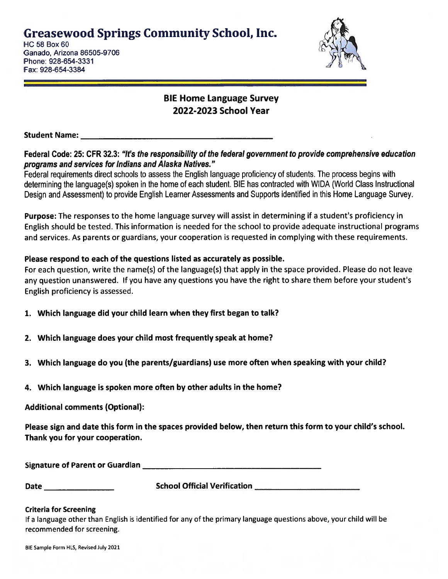Greasewood Springs Community School, Inc.

HC 58 Box 60 Ganado, Arizona 86505-9706 Phone: 928-654-3331 Fax: 928-654-3384



### BIE Home Language Survey 2022-2023 School Year

Student Name:

Federal Code: 25: CFR 32.3: "It's the responsibility of the federal governmen<sup>t</sup> to provide comprehensive education programs and services for Indians and Alaska Natives."

Federal requirements direct schools to assess the English language proficiency of students, The process begins with determining the language(s) spoken in the home of each student. BIE has contracted with WIDA (World Class Instructional Design and Assessment) to provide English Learner Assessments and Supports identified in this Home Language Survey.

Purpose: The responses to the home language survey will assist in determining if <sup>a</sup> student's proficiency in English should be tested. This information is needed for the school to provide adequate instructional programs and services. As parents or guardians, your cooperation is requested in complying with these requirements.

### Please respond to each of the questions listed as accurately as possible.

For each question, write the name(s) of the language(s) that apply in the space provided. Please do not leave any question unanswered. If you have any questions you have the right to share them before your student's English proficiency is assessed. Greasewood Springs Community School, Inc.<br>  $\frac{1}{16}$ Carels as as of  $\frac{5}{16}$ Carels and a Areona 86505-9706<br>
Then the magnetic Areona 86505-9706<br>
Then the 2022-2023 School Year<br>
Then the 2022-2023 School Year<br>
The Size S Greasewood Springs Community School, Inc.<br>
C is the component of State of the component of the composite of the component of the component of the component of the component of the component of the component of the componen

- 1. Which language did your child learn when they first began to talk?
- 2. Which language does your child most frequently speak at home?
- 3. Which language do you (the parents/guardians) use more often when speaking with your child?
- 4. Which language is spoken more often by other adults in the home?

### Additional comments (Optional):

Please sign and date this form in the spaces provided below, then return this form to your child's school. Thank you for your cooperation.

| Signature of Parent or Guardian |  |
|---------------------------------|--|
|                                 |  |

### Criteria for Screening

If <sup>a</sup> language other than English is identified for any of the primary language questions above, your child will be recommended for screening.